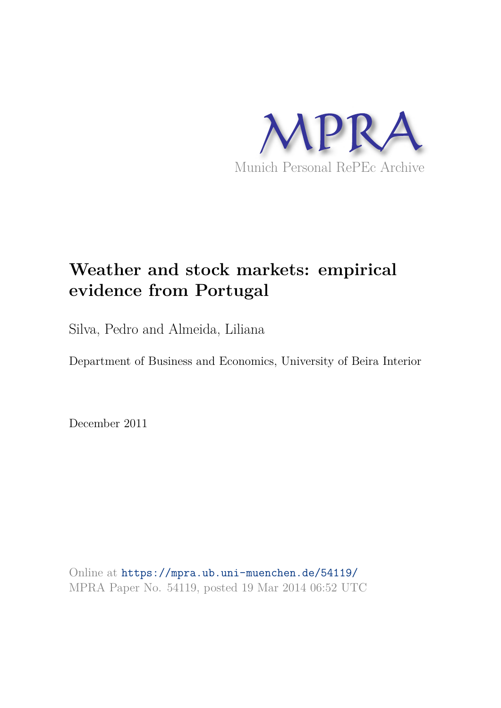

# **Weather and stock markets: empirical evidence from Portugal**

Silva, Pedro and Almeida, Liliana

Department of Business and Economics, University of Beira Interior

December 2011

Online at https://mpra.ub.uni-muenchen.de/54119/ MPRA Paper No. 54119, posted 19 Mar 2014 06:52 UTC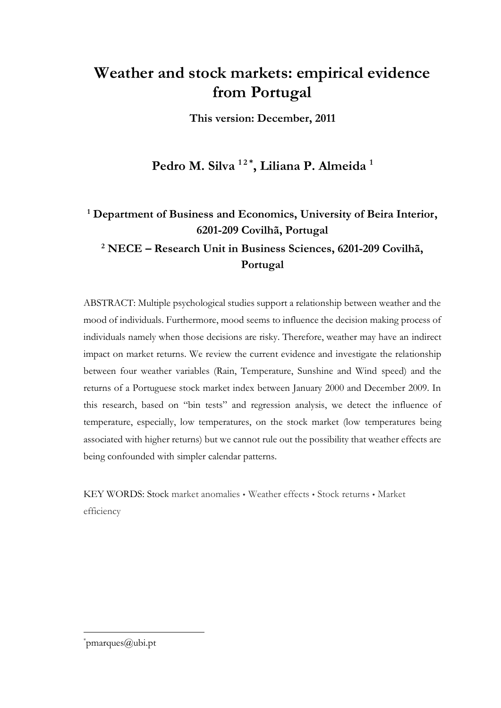## **Weather and stock markets: empirical evidence from Portugal**

**This version: December, 2011** 

## **Pedro M. Silva 1 2 \* , Liliana P. Almeida <sup>1</sup>**

### **1 Department of Business and Economics, University of Beira Interior, 6201-209 Covilhã, Portugal**

**2 NECE – Research Unit in Business Sciences, 6201-209 Covilhã, Portugal** 

ABSTRACT: Multiple psychological studies support a relationship between weather and the mood of individuals. Furthermore, mood seems to influence the decision making process of individuals namely when those decisions are risky. Therefore, weather may have an indirect impact on market returns. We review the current evidence and investigate the relationship between four weather variables (Rain, Temperature, Sunshine and Wind speed) and the returns of a Portuguese stock market index between January 2000 and December 2009. In this research, based on "bin tests" and regression analysis, we detect the influence of temperature, especially, low temperatures, on the stock market (low temperatures being associated with higher returns) but we cannot rule out the possibility that weather effects are being confounded with simpler calendar patterns.

KEY WORDS: Stock market anomalies • Weather effects • Stock returns • Market efficiency

\* pmarques@ubi.pt

 $\overline{a}$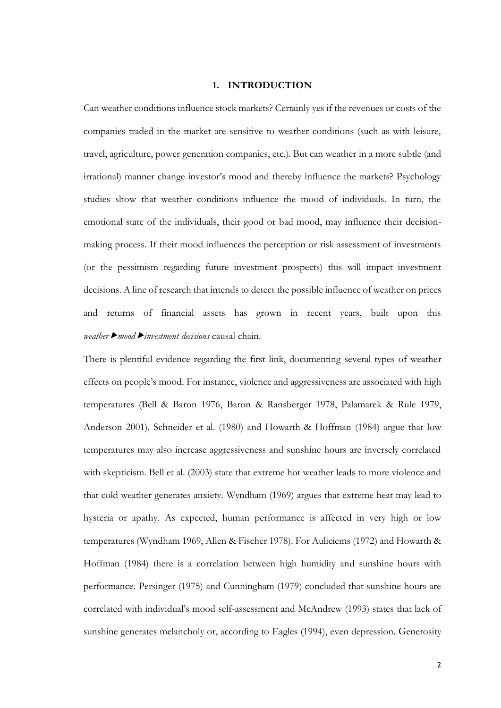#### **1. INTRODUCTION**

Can weather conditions influence stock markets? Certainly yes if the revenues or costs of the companies traded in the market are sensitive to weather conditions (such as with leisure, travel, agriculture, power generation companies, etc.). But can weather in a more subtle (and irrational) manner change investor's mood and thereby influence the markets? Psychology studies show that weather conditions influence the mood of individuals. In turn, the emotional state of the individuals, their good or bad mood, may influence their decisionmaking process. If their mood influences the perception or risk assessment of investments (or the pessimism regarding future investment prospects) this will impact investment decisions. A line of research that intends to detect the possible influence of weather on prices and returns of financial assets has grown in recent years, built upon this *weathermoodinvestment decisions* causal chain.

There is plentiful evidence regarding the first link, documenting several types of weather effects on people's mood. For instance, violence and aggressiveness are associated with high temperatures (Bell & Baron 1976, Baron & Ransberger 1978, Palamarek & Rule 1979, Anderson 2001). Schneider et al. (1980) and Howarth & Hoffman (1984) argue that low temperatures may also increase aggressiveness and sunshine hours are inversely correlated with skepticism. Bell et al. (2003) state that extreme hot weather leads to more violence and that cold weather generates anxiety. Wyndham (1969) argues that extreme heat may lead to hysteria or apathy. As expected, human performance is affected in very high or low temperatures (Wyndham 1969, Allen & Fischer 1978). For Auliciems (1972) and Howarth & Hoffman (1984) there is a correlation between high humidity and sunshine hours with performance. Persinger (1975) and Cunningham (1979) concluded that sunshine hours are correlated with individual's mood self-assessment and McAndrew (1993) states that lack of sunshine generates melancholy or, according to Eagles (1994), even depression. Generosity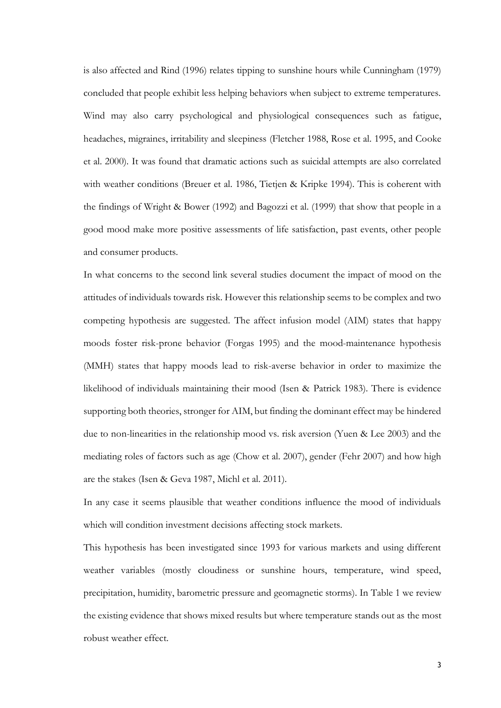is also affected and Rind (1996) relates tipping to sunshine hours while Cunningham (1979) concluded that people exhibit less helping behaviors when subject to extreme temperatures. Wind may also carry psychological and physiological consequences such as fatigue, headaches, migraines, irritability and sleepiness (Fletcher 1988, Rose et al. 1995, and Cooke et al. 2000). It was found that dramatic actions such as suicidal attempts are also correlated with weather conditions (Breuer et al. 1986, Tietjen & Kripke 1994). This is coherent with the findings of Wright & Bower (1992) and Bagozzi et al. (1999) that show that people in a good mood make more positive assessments of life satisfaction, past events, other people and consumer products.

In what concerns to the second link several studies document the impact of mood on the attitudes of individuals towards risk. However this relationship seems to be complex and two competing hypothesis are suggested. The affect infusion model (AIM) states that happy moods foster risk-prone behavior (Forgas 1995) and the mood-maintenance hypothesis (MMH) states that happy moods lead to risk-averse behavior in order to maximize the likelihood of individuals maintaining their mood (Isen & Patrick 1983). There is evidence supporting both theories, stronger for AIM, but finding the dominant effect may be hindered due to non-linearities in the relationship mood vs. risk aversion (Yuen & Lee 2003) and the mediating roles of factors such as age (Chow et al. 2007), gender (Fehr 2007) and how high are the stakes (Isen & Geva 1987, Michl et al. 2011).

In any case it seems plausible that weather conditions influence the mood of individuals which will condition investment decisions affecting stock markets.

This hypothesis has been investigated since 1993 for various markets and using different weather variables (mostly cloudiness or sunshine hours, temperature, wind speed, precipitation, humidity, barometric pressure and geomagnetic storms). In Table 1 we review the existing evidence that shows mixed results but where temperature stands out as the most robust weather effect.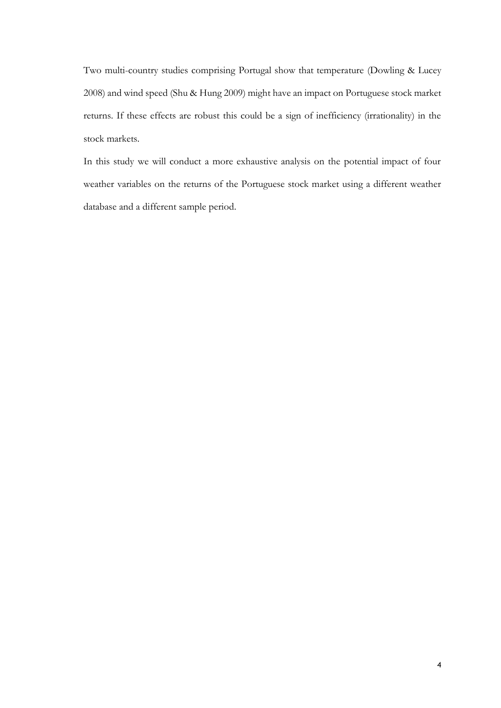Two multi-country studies comprising Portugal show that temperature (Dowling & Lucey 2008) and wind speed (Shu & Hung 2009) might have an impact on Portuguese stock market returns. If these effects are robust this could be a sign of inefficiency (irrationality) in the stock markets.

In this study we will conduct a more exhaustive analysis on the potential impact of four weather variables on the returns of the Portuguese stock market using a different weather database and a different sample period.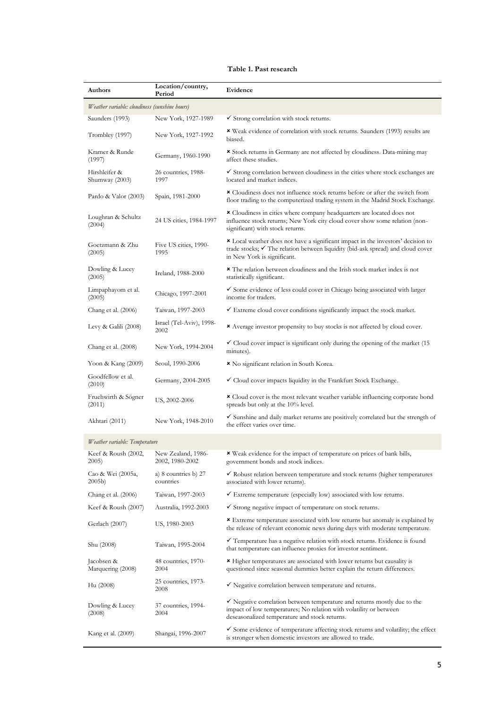#### **Table 1. Past research**

| Authors                                       | Location/country,<br>Period           | Evidence                                                                                                                                                                                                   |  |  |  |  |  |
|-----------------------------------------------|---------------------------------------|------------------------------------------------------------------------------------------------------------------------------------------------------------------------------------------------------------|--|--|--|--|--|
| Weather variable: cloudiness (sunshine hours) |                                       |                                                                                                                                                                                                            |  |  |  |  |  |
| Saunders (1993)                               | New York, 1927-1989                   | $\checkmark$ Strong correlation with stock returns.                                                                                                                                                        |  |  |  |  |  |
| Trombley (1997)                               | New York, 1927-1992                   | * Weak evidence of correlation with stock returns. Saunders (1993) results are<br>biased.                                                                                                                  |  |  |  |  |  |
| Kramer & Runde<br>(1997)                      | Germany, 1960-1990                    | * Stock returns in Germany are not affected by cloudiness. Data-mining may<br>affect these studies.                                                                                                        |  |  |  |  |  |
| Hirshleifer &<br>Shumway (2003)               | 26 countries, 1988-<br>1997           | $\checkmark$ Strong correlation between cloudiness in the cities where stock exchanges are<br>located and market indices.                                                                                  |  |  |  |  |  |
| Pardo & Valor (2003)                          | Spain, 1981-2000                      | <b>*</b> Cloudiness does not influence stock returns before or after the switch from<br>floor trading to the computerized trading system in the Madrid Stock Exchange.                                     |  |  |  |  |  |
| Loughran & Schultz<br>(2004)                  | 24 US cities, 1984-1997               | * Cloudiness in cities where company headquarters are located does not<br>influence stock returns; New York city cloud cover show some relation (non-<br>significant) with stock returns.                  |  |  |  |  |  |
| Goetzmann & Zhu<br>(2005)                     | Five US cities, 1990-<br>1995         | Local weather does not have a significant impact in the investors' decision to<br>trade stocks; √ The relation between liquidity (bid-ask spread) and cloud cover<br>in New York is significant.           |  |  |  |  |  |
| Dowling & Lucey<br>(2005)                     | Ireland, 1988-2000                    | <b>*</b> The relation between cloudiness and the Irish stock market index is not<br>statistically significant.                                                                                             |  |  |  |  |  |
| Limpaphayom et al.<br>(2005)                  | Chicago, 1997-2001                    | $\checkmark$ Some evidence of less could cover in Chicago being associated with larger<br>income for traders.                                                                                              |  |  |  |  |  |
| Chang et al. (2006)                           | Taiwan, 1997-2003                     | $\checkmark$ Extreme cloud cover conditions significantly impact the stock market.                                                                                                                         |  |  |  |  |  |
| Levy & Galili $(2008)$                        | Israel (Tel-Aviv), 1998-<br>2002      | <b>*</b> Average investor propensity to buy stocks is not affected by cloud cover.                                                                                                                         |  |  |  |  |  |
| Chang et al. (2008)                           | New York, 1994-2004                   | $\checkmark$ Cloud cover impact is significant only during the opening of the market (15<br>minutes).                                                                                                      |  |  |  |  |  |
| Yoon & Kang (2009)                            | Seoul, 1990-2006                      | × No significant relation in South Korea.                                                                                                                                                                  |  |  |  |  |  |
| Goodfellow et al.<br>(2010)                   | Germany, 2004-2005                    | $\checkmark$ Cloud cover impacts liquidity in the Frankfurt Stock Exchange.                                                                                                                                |  |  |  |  |  |
| Fruehwirth & Sögner<br>(2011)                 | US, 2002-2006                         | * Cloud cover is the most relevant weather variable influencing corporate bond<br>spreads but only at the 10% level.                                                                                       |  |  |  |  |  |
| Akhtari (2011)                                | New York, 1948-2010                   | $\checkmark$ Sunshine and daily market returns are positively correlated but the strength of<br>the effect varies over time.                                                                               |  |  |  |  |  |
| Weather variable: Temperature                 |                                       |                                                                                                                                                                                                            |  |  |  |  |  |
| Keef & Roush (2002,<br>2005)                  | New Zealand, 1986-<br>2002, 1980-2002 | * Weak evidence for the impact of temperature on prices of bank bills,<br>government bonds and stock indices.                                                                                              |  |  |  |  |  |
| Cao & Wei (2005a,<br>2005 <sub>b</sub>        | a) 8 countries b) $27$<br>countries   | $\checkmark$ Robust relation between temperature and stock returns (higher temperatures<br>associated with lower returns).                                                                                 |  |  |  |  |  |
| Chang et al. $(2006)$                         | Taiwan, 1997-2003                     | $\checkmark$ Extreme temperature (especially low) associated with low returns.                                                                                                                             |  |  |  |  |  |
| Keef & Roush $(2007)$                         | Australia, 1992-2003                  | ► Strong negative impact of temperature on stock returns.                                                                                                                                                  |  |  |  |  |  |
| Gerlach (2007)                                | US, 1980-2003                         | <b>*</b> Extreme temperature associated with low returns but anomaly is explained by<br>the release of relevant economic news during days with moderate temperature.                                       |  |  |  |  |  |
| Shu (2008)                                    | Taiwan, 1995-2004                     | $\checkmark$ Temperature has a negative relation with stock returns. Evidence is found<br>that temperature can influence proxies for investor sentiment.                                                   |  |  |  |  |  |
| Jacobsen &<br>Marquering (2008)               | 48 countries, 1970-<br>2004           | <b>*</b> Higher temperatures are associated with lower returns but causality is<br>questioned since seasonal dummies better explain the return differences.                                                |  |  |  |  |  |
| Hu (2008)                                     | 25 countries, 1973-<br>2008           | $\checkmark$ Negative correlation between temperature and returns.                                                                                                                                         |  |  |  |  |  |
| Dowling & Lucey<br>(2008)                     | 37 countries, 1994-<br>2004           | $\checkmark$ Negative correlation between temperature and returns mostly due to the<br>impact of low temperatures; No relation with volatility or between<br>deseasonalized temperature and stock returns. |  |  |  |  |  |
| Kang et al. (2009)                            | Shangai, 1996-2007                    | $\checkmark$ Some evidence of temperature affecting stock returns and volatility; the effect<br>is stronger when domestic investors are allowed to trade.                                                  |  |  |  |  |  |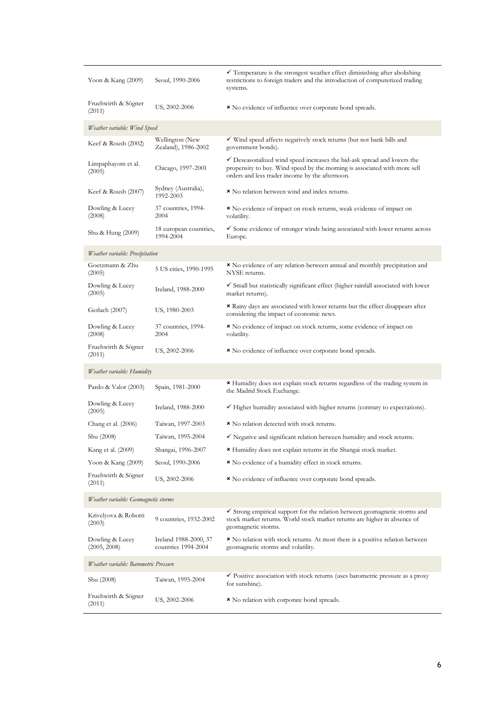| Yoon & Kang (2009)                    | Seoul, 1990-2006                             | $\checkmark$ Temperature is the strongest weather effect diminishing after abolishing<br>restrictions to foreign traders and the introduction of computerized trading<br>systems.                                  |  |  |  |  |
|---------------------------------------|----------------------------------------------|--------------------------------------------------------------------------------------------------------------------------------------------------------------------------------------------------------------------|--|--|--|--|
| Fruehwirth & Sögner<br>(2011)         | US, 2002-2006                                | * No evidence of influence over corporate bond spreads.                                                                                                                                                            |  |  |  |  |
| Weather variable: Wind Speed          |                                              |                                                                                                                                                                                                                    |  |  |  |  |
| Keef & Roush (2002)                   | Wellington (New<br>Zealand), 1986-2002       | $\checkmark$ Wind speed affects negatively stock returns (but not bank bills and<br>government bonds).                                                                                                             |  |  |  |  |
| Limpaphayom et al.<br>(2005)          | Chicago, 1997-2001                           | $\checkmark$ Deseasonalized wind speed increases the bid-ask spread and lowers the<br>propensity to buy. Wind speed by the morning is associated with more sell<br>orders and less trader income by the afternoon. |  |  |  |  |
| Keef & Roush (2007)                   | Sydney (Australia),<br>1992-2003             | × No relation between wind and index returns.                                                                                                                                                                      |  |  |  |  |
| Dowling & Lucey<br>(2008)             | 37 countries, 1994-<br>2004                  | * No evidence of impact on stock returns, weak evidence of impact on<br>volatility.                                                                                                                                |  |  |  |  |
| Shu & Hung (2009)                     | 18 european countries,<br>1994-2004          | $\checkmark$ Some evidence of stronger winds being associated with lower returns across<br>Europe.                                                                                                                 |  |  |  |  |
| Weather variable: Precipitation       |                                              |                                                                                                                                                                                                                    |  |  |  |  |
| Goetzmann & Zhu<br>(2005)             | 5 US cities, 1990-1995                       | * No evidence of any relation between annual and monthly precipitation and<br>NYSE returns.                                                                                                                        |  |  |  |  |
| Dowling & Lucey<br>(2005)             | Ireland, 1988-2000                           | $\checkmark$ Small but statistically significant effect (higher rainfall associated with lower<br>market returns).                                                                                                 |  |  |  |  |
| Gerlach (2007)                        | US, 1980-2003                                | * Rainy days are associated with lower returns but the effect disappears after<br>considering the impact of economic news.                                                                                         |  |  |  |  |
| Dowling & Lucey<br>(2008)             | 37 countries, 1994-<br>2004                  | * No evidence of impact on stock returns, some evidence of impact on<br>volatility.                                                                                                                                |  |  |  |  |
| Fruehwirth & Sögner<br>(2011)         | US, 2002-2006                                | * No evidence of influence over corporate bond spreads.                                                                                                                                                            |  |  |  |  |
| Weather variable: Humidity            |                                              |                                                                                                                                                                                                                    |  |  |  |  |
| Pardo & Valor (2003)                  | Spain, 1981-2000                             | * Humidity does not explain stock returns regardless of the trading system in<br>the Madrid Stock Exchange.                                                                                                        |  |  |  |  |
| Dowling & Lucey<br>(2005)             | Ireland, 1988-2000                           | $\checkmark$ Higher humidity associated with higher returns (contrary to expectations).                                                                                                                            |  |  |  |  |
| Chang et al. (2006)                   | Taiwan, 1997-2003                            | × No relation detected with stock returns.                                                                                                                                                                         |  |  |  |  |
| Shu (2008)                            | Taiwan, 1995-2004                            | $\checkmark$ Negative and significant relation between humidity and stock returns.                                                                                                                                 |  |  |  |  |
| Kang et al. (2009)                    | Shangai, 1996-2007                           | <b>*</b> Humidity does not explain returns in the Shangai stock market.                                                                                                                                            |  |  |  |  |
| Yoon & Kang (2009)                    | Seoul, 1990-2006                             | * No evidence of a humidity effect in stock returns.                                                                                                                                                               |  |  |  |  |
| Fruehwirth & Sögner<br>(2011)         | US, 2002-2006                                | * No evidence of influence over corporate bond spreads.                                                                                                                                                            |  |  |  |  |
| Weather variable: Geomagnetic storms  |                                              |                                                                                                                                                                                                                    |  |  |  |  |
| Krivelyova & Robotti<br>(2003)        | 9 countries, 1932-2002                       | $\checkmark$ Strong empirical support for the relation between geomagnetic storms and<br>stock market returns. World stock market returns are higher in absence of<br>geomagnetic storms.                          |  |  |  |  |
| Dowling & Lucey<br>(2005, 2008)       | Ireland 1988-2000, 37<br>countries 1994-2004 | <b>*</b> No relation with stock returns. At most there is a positive relation between<br>geomagnetic storms and volatility.                                                                                        |  |  |  |  |
| Weather variable: Barometric Pressure |                                              |                                                                                                                                                                                                                    |  |  |  |  |
| Shu (2008)                            | Taiwan, 1995-2004                            | $\checkmark$ Positive association with stock returns (uses barometric pressure as a proxy<br>for sunshine).                                                                                                        |  |  |  |  |
| Fruehwirth & Sögner<br>(2011)         | US, 2002-2006                                | * No relation with corporate bond spreads.                                                                                                                                                                         |  |  |  |  |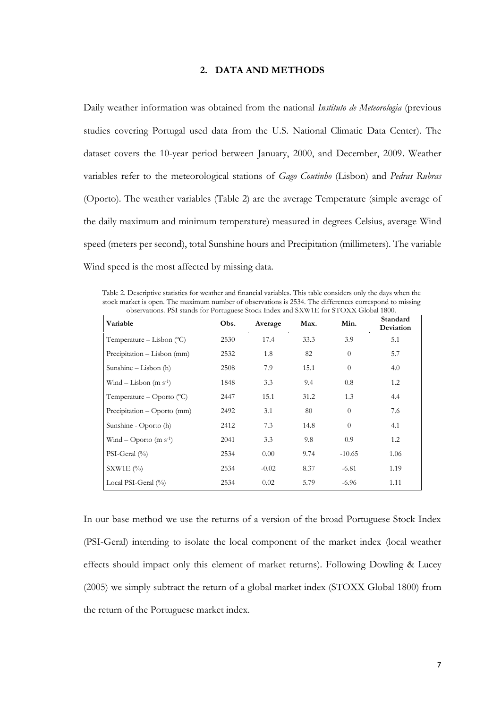#### **2. DATA AND METHODS**

Daily weather information was obtained from the national *Instituto de Meteorologia* (previous studies covering Portugal used data from the U.S. National Climatic Data Center). The dataset covers the 10-year period between January, 2000, and December, 2009. Weather variables refer to the meteorological stations of *Gago Coutinho* (Lisbon) and *Pedras Rubras* (Oporto). The weather variables (Table 2) are the average Temperature (simple average of the daily maximum and minimum temperature) measured in degrees Celsius, average Wind speed (meters per second), total Sunshine hours and Precipitation (millimeters). The variable Wind speed is the most affected by missing data.

Table 2. Descriptive statistics for weather and financial variables. This table considers only the days when the stock market is open. The maximum number of observations is 2534. The differences correspond to missing observations. PSI stands for Portuguese Stock Index and SXW1E for STOXX Global 1800.

| Variable                           | Obs. | Average | Max. | Min.           | Standard<br>Deviation |
|------------------------------------|------|---------|------|----------------|-----------------------|
| Temperature – Lisbon $(°C)$        | 2530 | 17.4    | 33.3 | 3.9            | 5.1                   |
| Precipitation – Lisbon (mm)        | 2532 | 1.8     | 82   | $\theta$       | 5.7                   |
| Sunshine $-$ Lisbon (h)            | 2508 | 7.9     | 15.1 | $\overline{0}$ | 4.0                   |
| Wind – Lisbon $(m s-1)$            | 1848 | 3.3     | 9.4  | 0.8            | 1.2                   |
| Temperature – Oporto $(^{\circ}C)$ | 2447 | 15.1    | 31.2 | 1.3            | 4.4                   |
| Precipitation – Oporto (mm)        | 2492 | 3.1     | 80   | $\overline{0}$ | 7.6                   |
| Sunshine - Oporto (h)              | 2412 | 7.3     | 14.8 | $\theta$       | 4.1                   |
| Wind – Oporto $(m s-1)$            | 2041 | 3.3     | 9.8  | 0.9            | 1.2                   |
| PSI-Geral $(\% )$                  | 2534 | 0.00    | 9.74 | $-10.65$       | 1.06                  |
| S X W1E (%)                        | 2534 | $-0.02$ | 8.37 | $-6.81$        | 1.19                  |
| Local PSI-Geral (%)                | 2534 | 0.02    | 5.79 | $-6.96$        | 1.11                  |

In our base method we use the returns of a version of the broad Portuguese Stock Index (PSI-Geral) intending to isolate the local component of the market index (local weather effects should impact only this element of market returns). Following Dowling & Lucey (2005) we simply subtract the return of a global market index (STOXX Global 1800) from the return of the Portuguese market index.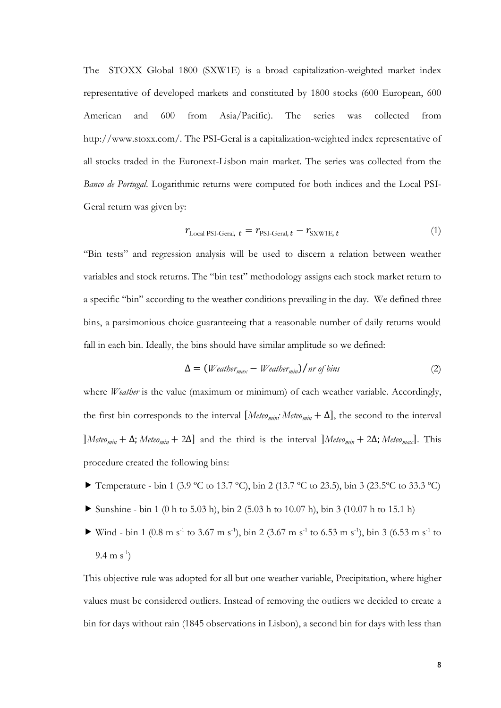The STOXX Global 1800 (SXW1E) is a broad capitalization-weighted market index representative of developed markets and constituted by 1800 stocks (600 European, 600 American and 600 from Asia/Pacific). The series was collected from http://www.stoxx.com/. The PSI-Geral is a capitalization-weighted index representative of all stocks traded in the Euronext-Lisbon main market. The series was collected from the *Banco de Portugal*. Logarithmic returns were computed for both indices and the Local PSI-Geral return was given by:

$$
r_{\text{Local PSI-Geral, }t} = r_{\text{PSI-Geral, }t} - r_{\text{SXW1E, }t} \tag{1}
$$

"Bin tests" and regression analysis will be used to discern a relation between weather variables and stock returns. The "bin test" methodology assigns each stock market return to a specific "bin" according to the weather conditions prevailing in the day. We defined three bins, a parsimonious choice guaranteeing that a reasonable number of daily returns would fall in each bin. Ideally, the bins should have similar amplitude so we defined:

$$
\Delta = (Weather_{max} - Weather_{min})/nr \text{ of bins} \tag{2}
$$

where *Weather* is the value (maximum or minimum) of each weather variable. Accordingly, the first bin corresponds to the interval  $[$ *Meteo*<sub>*min*</sub></sub>; *Meteo*<sub>*min*</sub> +  $\Delta$ ], the second to the interval ]*Meteomin* + ∆; *Meteomin* + 2∆] and the third is the interval ]*Meteomin* + 2∆; *Meteomax*]. This procedure created the following bins:

- Temperature bin 1 (3.9 °C to 13.7 °C), bin 2 (13.7 °C to 23.5), bin 3 (23.5 °C to 33.3 °C)
- Sunshine bin 1 (0 h to 5.03 h), bin 2 (5.03 h to 10.07 h), bin 3 (10.07 h to 15.1 h)
- Wind bin 1 (0.8 m s<sup>-1</sup> to 3.67 m s<sup>-1</sup>), bin 2 (3.67 m s<sup>-1</sup> to 6.53 m s<sup>-1</sup>), bin 3 (6.53 m s<sup>-1</sup> to 9.4 m  $s^{-1}$ )

This objective rule was adopted for all but one weather variable, Precipitation, where higher values must be considered outliers. Instead of removing the outliers we decided to create a bin for days without rain (1845 observations in Lisbon), a second bin for days with less than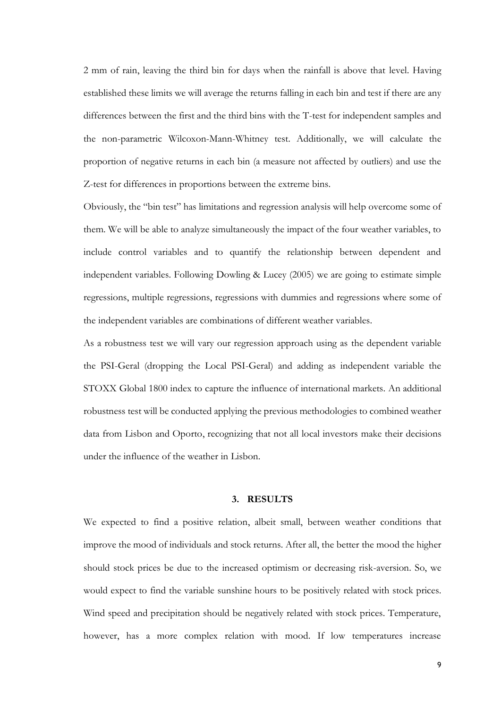2 mm of rain, leaving the third bin for days when the rainfall is above that level. Having established these limits we will average the returns falling in each bin and test if there are any differences between the first and the third bins with the T-test for independent samples and the non-parametric Wilcoxon-Mann-Whitney test. Additionally, we will calculate the proportion of negative returns in each bin (a measure not affected by outliers) and use the Z-test for differences in proportions between the extreme bins.

Obviously, the "bin test" has limitations and regression analysis will help overcome some of them. We will be able to analyze simultaneously the impact of the four weather variables, to include control variables and to quantify the relationship between dependent and independent variables. Following Dowling & Lucey (2005) we are going to estimate simple regressions, multiple regressions, regressions with dummies and regressions where some of the independent variables are combinations of different weather variables.

As a robustness test we will vary our regression approach using as the dependent variable the PSI-Geral (dropping the Local PSI-Geral) and adding as independent variable the STOXX Global 1800 index to capture the influence of international markets. An additional robustness test will be conducted applying the previous methodologies to combined weather data from Lisbon and Oporto, recognizing that not all local investors make their decisions under the influence of the weather in Lisbon.

#### **3. RESULTS**

We expected to find a positive relation, albeit small, between weather conditions that improve the mood of individuals and stock returns. After all, the better the mood the higher should stock prices be due to the increased optimism or decreasing risk-aversion. So, we would expect to find the variable sunshine hours to be positively related with stock prices. Wind speed and precipitation should be negatively related with stock prices. Temperature, however, has a more complex relation with mood. If low temperatures increase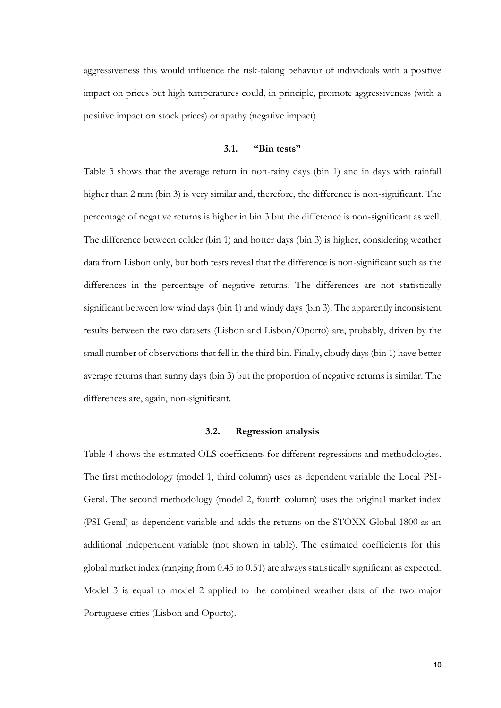aggressiveness this would influence the risk-taking behavior of individuals with a positive impact on prices but high temperatures could, in principle, promote aggressiveness (with a positive impact on stock prices) or apathy (negative impact).

#### **3.1. "Bin tests"**

Table 3 shows that the average return in non-rainy days (bin 1) and in days with rainfall higher than 2 mm (bin 3) is very similar and, therefore, the difference is non-significant. The percentage of negative returns is higher in bin 3 but the difference is non-significant as well. The difference between colder (bin 1) and hotter days (bin 3) is higher, considering weather data from Lisbon only, but both tests reveal that the difference is non-significant such as the differences in the percentage of negative returns. The differences are not statistically significant between low wind days (bin 1) and windy days (bin 3). The apparently inconsistent results between the two datasets (Lisbon and Lisbon/Oporto) are, probably, driven by the small number of observations that fell in the third bin. Finally, cloudy days (bin 1) have better average returns than sunny days (bin 3) but the proportion of negative returns is similar. The differences are, again, non-significant.

#### **3.2. Regression analysis**

Table 4 shows the estimated OLS coefficients for different regressions and methodologies. The first methodology (model 1, third column) uses as dependent variable the Local PSI-Geral. The second methodology (model 2, fourth column) uses the original market index (PSI-Geral) as dependent variable and adds the returns on the STOXX Global 1800 as an additional independent variable (not shown in table). The estimated coefficients for this global market index (ranging from 0.45 to 0.51) are always statistically significant as expected. Model 3 is equal to model 2 applied to the combined weather data of the two major Portuguese cities (Lisbon and Oporto).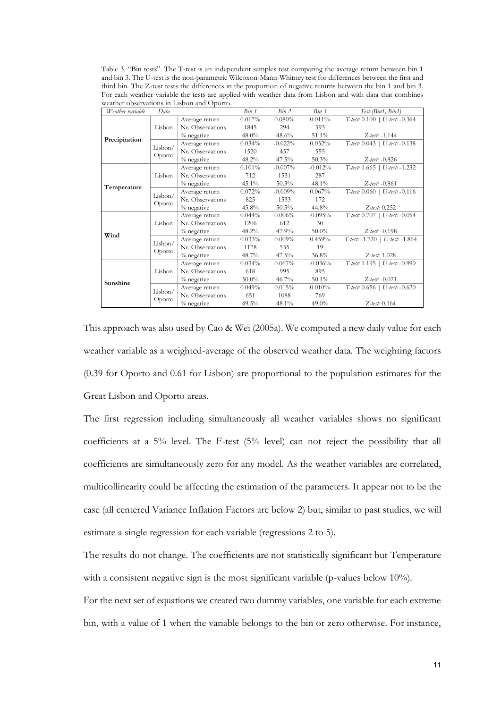Table 3. "Bin tests". The T-test is an independent samples test comparing the average return between bin 1 and bin 3. The U-test is the non-parametric Wilcoxon-Mann-Whitney test for differences between the first and third bin. The Z-test tests the differences in the proportion of negative returns between the bin 1 and bin 3. For each weather variable the tests are applied with weather data from Lisbon and with data that combines weather observations in Lisbon and Oporto.

| Weather variable                                        | Data              |                  | Bin 1     | Bin 2      | Bin 3     | Test (Bin1, Bin3)                   |
|---------------------------------------------------------|-------------------|------------------|-----------|------------|-----------|-------------------------------------|
|                                                         | Lisbon            | Average return   | 0.017%    | $0.080\%$  | 0.011%    | $T$ -test: $0.100$   U-test: -0.364 |
|                                                         |                   | Nr. Observations | 1845      | 294        | 393       |                                     |
|                                                         |                   | $%$ negative     | $48.0\%$  | 48.6%      | 51.1%     | $Z$ -test: -1.144                   |
|                                                         | Lisbon/           | Average return   | 0.034%    | $-0.022%$  | 0.032%    | $T$ -test: $0.043$   U-test: -0.138 |
| Precipitation<br>Temperature<br>Wind<br><b>Sunshine</b> | Oporto            | Nr. Observations | 1520      | 457        | 555       |                                     |
|                                                         |                   | $%$ negative     | $48.2\%$  | $47.5\%$   | $50.3\%$  | $Z$ -test: $-0.826$                 |
|                                                         |                   | Average return   | $0.101\%$ | $-0.007\%$ | $-0.012%$ | T-test: 1.665   U-test: -1.232      |
|                                                         | Lisbon            | Nr. Observations | 712       | 1531       | 287       |                                     |
|                                                         |                   | % negative       | 45.1%     | 50.3%      | 48.1%     | $Z$ -test: -0.861                   |
|                                                         | Lisbon/<br>Oporto | Average return   | 0.072%    | $-0.009%$  | $0.067\%$ | $T$ -test: $0.060$   U-test: -0.116 |
|                                                         |                   | Nr. Observations | 825       | 1533       | 172       |                                     |
|                                                         |                   | $%$ negative     | 45.8%     | $50.5\%$   | 44.8%     | $Z$ -test: $0.252$                  |
|                                                         | Lisbon            | Average return   | 0.044%    | $0.006\%$  | $-0.095%$ | T-test: 0.707   U-test: -0.054      |
|                                                         |                   | Nr. Observations | 1206      | 612        | 30        |                                     |
|                                                         |                   | % negative       | 48.2%     | 47.9%      | $50.0\%$  | $Z$ -test: -0.198                   |
|                                                         | Lisbon/<br>Oporto | Average return   | 0.033%    | $0.009\%$  | 0.459%    | T-test: -1.720   U-test: -1.864     |
|                                                         |                   | Nr. Observations | 1178      | 535        | 19        |                                     |
|                                                         |                   | $%$ negative     | 48.7%     | $47.5\%$   | $36.8\%$  | $Z$ -test: 1.028                    |
|                                                         | Lisbon            | Average return   | 0.034%    | 0.067%     | $-0.036%$ | $T$ -test: 1.195   U-test: -0.990   |
|                                                         |                   | Nr. Observations | 618       | 995        | 895       |                                     |
|                                                         |                   | % negative       | $50.0\%$  | $46.7\%$   | $50.1\%$  | $Z$ -test: -0.021                   |
|                                                         | Lisbon/           | Average return   | 0.049%    | 0.015%     | 0.010%    | $T$ -test: 0.656   U-test: -0.620   |
|                                                         | Oporto            | Nr. Observations | 651       | 1088       | 769       |                                     |
|                                                         |                   | % negative       | $49.5\%$  | 48.1%      | $49.0\%$  | $Z$ -test: $0.164$                  |

This approach was also used by Cao & Wei (2005a). We computed a new daily value for each weather variable as a weighted-average of the observed weather data. The weighting factors (0.39 for Oporto and 0.61 for Lisbon) are proportional to the population estimates for the Great Lisbon and Oporto areas.

The first regression including simultaneously all weather variables shows no significant coefficients at a 5% level. The F-test (5% level) can not reject the possibility that all coefficients are simultaneously zero for any model. As the weather variables are correlated, multicollinearity could be affecting the estimation of the parameters. It appear not to be the case (all centered Variance Inflation Factors are below 2) but, similar to past studies, we will estimate a single regression for each variable (regressions 2 to 5).

The results do not change. The coefficients are not statistically significant but Temperature with a consistent negative sign is the most significant variable (p-values below 10%).

For the next set of equations we created two dummy variables, one variable for each extreme bin, with a value of 1 when the variable belongs to the bin or zero otherwise. For instance,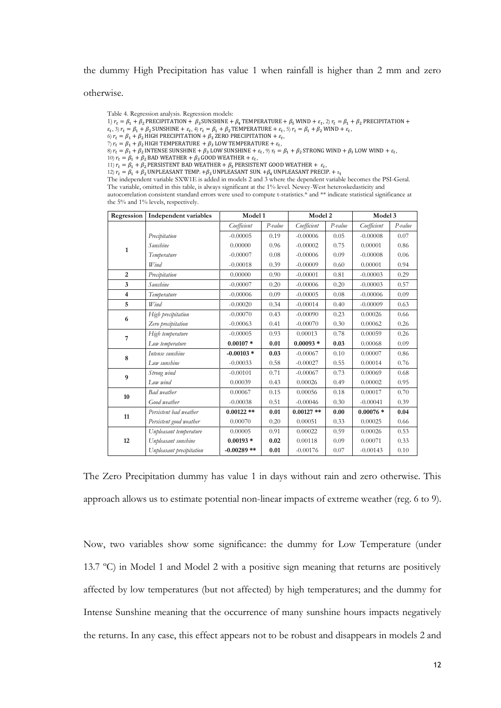the dummy High Precipitation has value 1 when rainfall is higher than 2 mm and zero

otherwise.

Table 4. Regression analysis. Regression models:

1)  $r_t = \beta_1 + \beta_2$  PRECIPITATION +  $\beta_3$ SUNSHINE +  $\beta_4$  TEMPERATURE +  $\beta_5$  WIND +  $\varepsilon_t$ , 2)  $r_t = \beta_1 + \beta_2$  PRECIPITATION +

- $\varepsilon_t$ , 3)  $r_t = \beta_1 + \beta_2$  SUNSHINE +  $\varepsilon_t$ , 4)  $r_t = \beta_1 + \beta_2$  TEMPERATURE +  $\varepsilon_t$ , 5)  $r_t = \beta_1 + \beta_2$  WIND +  $\varepsilon_t$ ,
- 6)  $r_t = \beta_1 + \beta_2$  HIGH PRECIPITATION +  $\beta_3$  ZERO PRECIPITATION +  $\varepsilon_t$ ,  $\gamma$   $r_t = \beta_1 + \beta_2$  HIGH TEMPERATURE  $+ \beta_3$  LOW TEMPERATURE  $+ \varepsilon_t$ ,

8)  $r_t = \beta_1 + \beta_2$  intense sunshine +  $\beta_3$  low sunshine +  $\varepsilon_t$ , 9)  $r_t = \beta_1 + \beta_2$  strong wind +  $\beta_3$  low wind +  $\varepsilon_t$ ,

10)  $r_t = \beta_1 + \beta_2$  BAD WEATHER +  $\beta_3$  GOOD WEATHER +  $\varepsilon_t$ ,

11)  $r_t = \beta_1 + \beta_2$  PERSISTENT BAD WEATHER +  $\beta_3$  PERSISTENT GOOD WEATHER +  $\varepsilon_t$ ,

12)  $r_t = \beta_1 + \beta_2$  UNPLEASANT TEMP.  $+\beta_3$  UNPLEASANT SUN.  $+\beta_4$  UNPLEASANT PRECIP.  $+ \varepsilon_t$ 

The independent variable SXW1E is added in models 2 and 3 where the dependent variable becomes the PSI-Geral. The variable, omitted in this table, is always significant at the 1% level. Newey-West heteroskedasticity and autocorrelation consistent standard errors were used to compute t-statistics.\* and \*\* indicate statistical significance at the 5% and 1% levels, respectively.

| Regression   | Independent variables    |              | Model 1   |              | Model 2   |             | Model 3   |  |
|--------------|--------------------------|--------------|-----------|--------------|-----------|-------------|-----------|--|
|              |                          | Coefficient  | $P-value$ | Coefficient  | $P-value$ | Coefficient | $P-value$ |  |
| $\mathbf{1}$ | Precipitation            | $-0.00005$   | 0.19      | $-0.00006$   | 0.05      | $-0.00008$  | 0.07      |  |
|              | Sunshine                 | 0.00000      | 0.96      | $-0.00002$   | 0.75      | 0.00001     | 0.86      |  |
|              | Temperature              | $-0.00007$   | 0.08      | $-0.00006$   | 0.09      | $-0.00008$  | 0.06      |  |
|              | Wind                     | $-0.00018$   | 0.39      | $-0.00009$   | 0.60      | 0.00001     | 0.94      |  |
| 2            | Precipitation            | 0.00000      | 0.90      | $-0.00001$   | 0.81      | $-0.00003$  | 0.29      |  |
| 3            | Sunshine                 | $-0.00007$   | 0.20      | $-0.00006$   | 0.20      | $-0.00003$  | 0.57      |  |
| 4            | Temperature              | $-0.00006$   | 0.09      | $-0.00005$   | 0.08      | $-0.00006$  | 0.09      |  |
| 5            | Wind                     | $-0.00020$   | 0.34      | $-0.00014$   | 0.40      | $-0.00009$  | 0.63      |  |
|              | High precipitation       | $-0.00070$   | 0.43      | $-0.00090$   | 0.23      | 0.00026     | 0.66      |  |
| 6            | Zero precipitation       | $-0.00063$   | 0.41      | $-0.00070$   | 0.30      | 0.00062     | 0.26      |  |
|              | High temperature         | $-0.00005$   | 0.93      | 0.00013      | 0.78      | 0.00059     | 0.26      |  |
| 7            | Low temperature          | $0.00107*$   | 0.01      | $0.00093*$   | 0.03      | 0.00068     | 0.09      |  |
|              | Intense sunshine         | $-0.00103*$  | 0.03      | $-0.00067$   | 0.10      | 0.00007     | 0.86      |  |
| 8            | Low sunshine             | $-0.00033$   | 0.58      | $-0.00027$   | 0.55      | 0.00014     | 0.76      |  |
| 9            | Strong wind              | $-0.00101$   | 0.71      | $-0.00067$   | 0.73      | 0.00069     | 0.68      |  |
|              | Low wind                 | 0.00039      | 0.43      | 0.00026      | 0.49      | 0.00002     | 0.95      |  |
| 10           | Bad weather              | 0.00067      | 0.15      | 0.00056      | 0.18      | 0.00017     | 0.70      |  |
|              | Good weather             | $-0.00038$   | 0.51      | $-0.00046$   | 0.30      | $-0.00041$  | 0.39      |  |
|              | Persistent bad weather   | $0.00122$ ** | 0.01      | $0.00127$ ** | 0.00      | $0.00076*$  | 0.04      |  |
| 11           | Persistent good weather  | 0.00070      | 0.20      | 0.00051      | 0.33      | 0.00025     | 0.66      |  |
|              | Unpleasant temperature   | 0.00005      | 0.91      | 0.00022      | 0.59      | 0.00026     | 0.53      |  |
| 12           | Unpleasant sunshine      | $0.00193*$   | 0.02      | 0.00118      | 0.09      | 0.00071     | 0.33      |  |
|              | Unpleasant precipitation | $-0.00289**$ | 0.01      | $-0.00176$   | 0.07      | $-0.00143$  | 0.10      |  |

The Zero Precipitation dummy has value 1 in days without rain and zero otherwise. This approach allows us to estimate potential non-linear impacts of extreme weather (reg. 6 to 9).

Now, two variables show some significance: the dummy for Low Temperature (under 13.7 ºC) in Model 1 and Model 2 with a positive sign meaning that returns are positively affected by low temperatures (but not affected) by high temperatures; and the dummy for Intense Sunshine meaning that the occurrence of many sunshine hours impacts negatively the returns. In any case, this effect appears not to be robust and disappears in models 2 and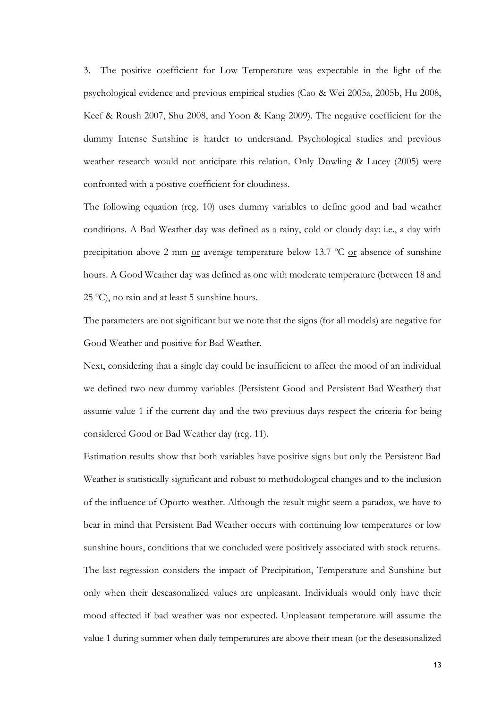3. The positive coefficient for Low Temperature was expectable in the light of the psychological evidence and previous empirical studies (Cao & Wei 2005a, 2005b, Hu 2008, Keef & Roush 2007, Shu 2008, and Yoon & Kang 2009). The negative coefficient for the dummy Intense Sunshine is harder to understand. Psychological studies and previous weather research would not anticipate this relation. Only Dowling & Lucey (2005) were confronted with a positive coefficient for cloudiness.

The following equation (reg. 10) uses dummy variables to define good and bad weather conditions. A Bad Weather day was defined as a rainy, cold or cloudy day: i.e., a day with precipitation above 2 mm  $or$  average temperature below 13.7 °C  $or$  absence of sunshine hours. A Good Weather day was defined as one with moderate temperature (between 18 and 25 ºC), no rain and at least 5 sunshine hours.

The parameters are not significant but we note that the signs (for all models) are negative for Good Weather and positive for Bad Weather.

Next, considering that a single day could be insufficient to affect the mood of an individual we defined two new dummy variables (Persistent Good and Persistent Bad Weather) that assume value 1 if the current day and the two previous days respect the criteria for being considered Good or Bad Weather day (reg. 11).

Estimation results show that both variables have positive signs but only the Persistent Bad Weather is statistically significant and robust to methodological changes and to the inclusion of the influence of Oporto weather. Although the result might seem a paradox, we have to bear in mind that Persistent Bad Weather occurs with continuing low temperatures or low sunshine hours, conditions that we concluded were positively associated with stock returns. The last regression considers the impact of Precipitation, Temperature and Sunshine but only when their deseasonalized values are unpleasant. Individuals would only have their mood affected if bad weather was not expected. Unpleasant temperature will assume the value 1 during summer when daily temperatures are above their mean (or the deseasonalized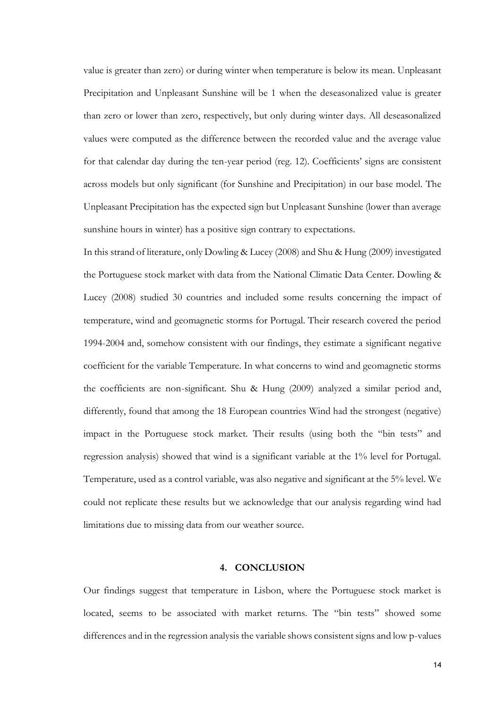value is greater than zero) or during winter when temperature is below its mean. Unpleasant Precipitation and Unpleasant Sunshine will be 1 when the deseasonalized value is greater than zero or lower than zero, respectively, but only during winter days. All deseasonalized values were computed as the difference between the recorded value and the average value for that calendar day during the ten-year period (reg. 12). Coefficients' signs are consistent across models but only significant (for Sunshine and Precipitation) in our base model. The Unpleasant Precipitation has the expected sign but Unpleasant Sunshine (lower than average sunshine hours in winter) has a positive sign contrary to expectations.

In this strand of literature, only Dowling & Lucey (2008) and Shu & Hung (2009) investigated the Portuguese stock market with data from the National Climatic Data Center. Dowling & Lucey (2008) studied 30 countries and included some results concerning the impact of temperature, wind and geomagnetic storms for Portugal. Their research covered the period 1994-2004 and, somehow consistent with our findings, they estimate a significant negative coefficient for the variable Temperature. In what concerns to wind and geomagnetic storms the coefficients are non-significant. Shu & Hung (2009) analyzed a similar period and, differently, found that among the 18 European countries Wind had the strongest (negative) impact in the Portuguese stock market. Their results (using both the "bin tests" and regression analysis) showed that wind is a significant variable at the 1% level for Portugal. Temperature, used as a control variable, was also negative and significant at the 5% level. We could not replicate these results but we acknowledge that our analysis regarding wind had limitations due to missing data from our weather source.

#### **4. CONCLUSION**

Our findings suggest that temperature in Lisbon, where the Portuguese stock market is located, seems to be associated with market returns. The "bin tests" showed some differences and in the regression analysis the variable shows consistent signs and low p-values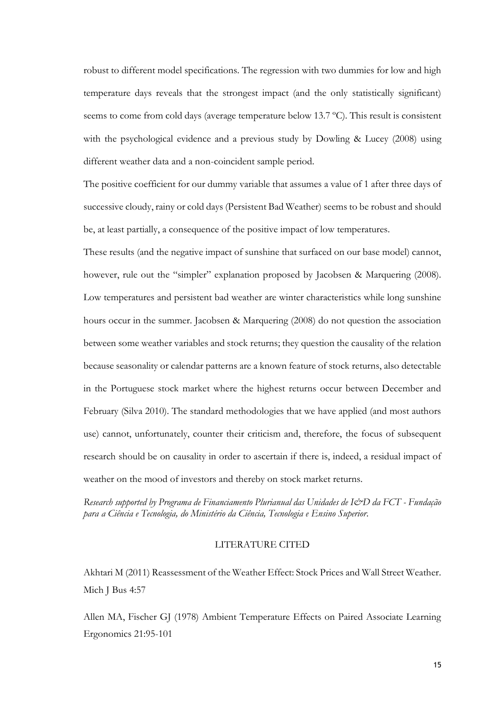robust to different model specifications. The regression with two dummies for low and high temperature days reveals that the strongest impact (and the only statistically significant) seems to come from cold days (average temperature below 13.7 ºC). This result is consistent with the psychological evidence and a previous study by Dowling & Lucey (2008) using different weather data and a non-coincident sample period.

The positive coefficient for our dummy variable that assumes a value of 1 after three days of successive cloudy, rainy or cold days (Persistent Bad Weather) seems to be robust and should be, at least partially, a consequence of the positive impact of low temperatures.

These results (and the negative impact of sunshine that surfaced on our base model) cannot, however, rule out the "simpler" explanation proposed by Jacobsen & Marquering (2008). Low temperatures and persistent bad weather are winter characteristics while long sunshine hours occur in the summer. Jacobsen & Marquering (2008) do not question the association between some weather variables and stock returns; they question the causality of the relation because seasonality or calendar patterns are a known feature of stock returns, also detectable in the Portuguese stock market where the highest returns occur between December and February (Silva 2010). The standard methodologies that we have applied (and most authors use) cannot, unfortunately, counter their criticism and, therefore, the focus of subsequent research should be on causality in order to ascertain if there is, indeed, a residual impact of weather on the mood of investors and thereby on stock market returns.

*Research supported by Programa de Financiamento Plurianual das Unidades de I&D da FCT - Fundação para a Ciência e Tecnologia, do Ministério da Ciência, Tecnologia e Ensino Superior.* 

#### LITERATURE CITED

Akhtari M (2011) Reassessment of the Weather Effect: Stock Prices and Wall Street Weather. Mich J Bus 4:57

Allen MA, Fischer GJ (1978) Ambient Temperature Effects on Paired Associate Learning Ergonomics 21:95-101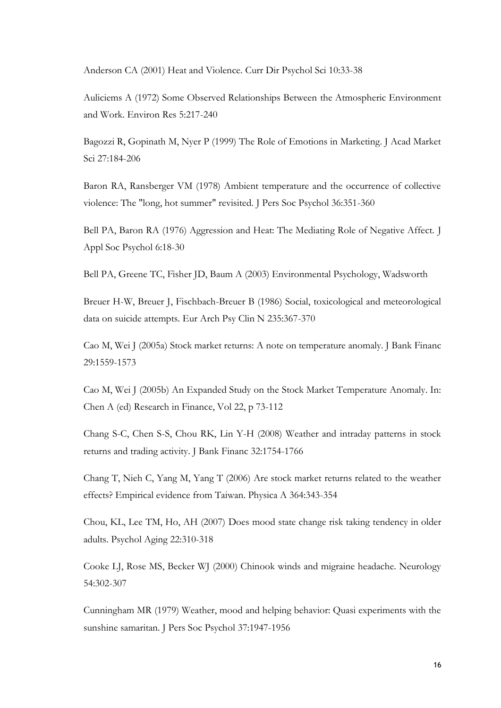Anderson CA (2001) Heat and Violence. Curr Dir Psychol Sci 10:33-38

Auliciems A (1972) Some Observed Relationships Between the Atmospheric Environment and Work. Environ Res 5:217-240

Bagozzi R, Gopinath M, Nyer P (1999) The Role of Emotions in Marketing. J Acad Market Sci 27:184-206

Baron RA, Ransberger VM (1978) Ambient temperature and the occurrence of collective violence: The "long, hot summer" revisited. J Pers Soc Psychol 36:351-360

Bell PA, Baron RA (1976) Aggression and Heat: The Mediating Role of Negative Affect. J Appl Soc Psychol 6:18-30

Bell PA, Greene TC, Fisher JD, Baum A (2003) Environmental Psychology, Wadsworth

Breuer H-W, Breuer J, Fischbach-Breuer B (1986) Social, toxicological and meteorological data on suicide attempts. Eur Arch Psy Clin N 235:367-370

Cao M, Wei J (2005a) Stock market returns: A note on temperature anomaly. J Bank Financ 29:1559-1573

Cao M, Wei J (2005b) An Expanded Study on the Stock Market Temperature Anomaly. In: Chen A (ed) Research in Finance, Vol 22, p 73-112

Chang S-C, Chen S-S, Chou RK, Lin Y-H (2008) Weather and intraday patterns in stock returns and trading activity. J Bank Financ 32:1754-1766

Chang T, Nieh C, Yang M, Yang T (2006) Are stock market returns related to the weather effects? Empirical evidence from Taiwan. Physica A 364:343-354

Chou, KL, Lee TM, Ho, AH (2007) Does mood state change risk taking tendency in older adults. Psychol Aging 22:310-318

Cooke LJ, Rose MS, Becker WJ (2000) Chinook winds and migraine headache. Neurology 54:302-307

Cunningham MR (1979) Weather, mood and helping behavior: Quasi experiments with the sunshine samaritan. J Pers Soc Psychol 37:1947-1956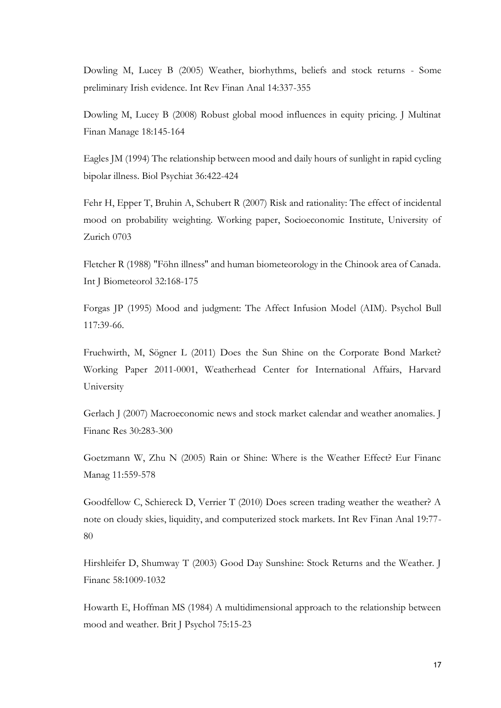Dowling M, Lucey B (2005) Weather, biorhythms, beliefs and stock returns - Some preliminary Irish evidence. Int Rev Finan Anal 14:337-355

Dowling M, Lucey B (2008) Robust global mood influences in equity pricing. J Multinat Finan Manage 18:145-164

Eagles JM (1994) The relationship between mood and daily hours of sunlight in rapid cycling bipolar illness. Biol Psychiat 36:422-424

Fehr H, Epper T, Bruhin A, Schubert R (2007) Risk and rationality: The effect of incidental mood on probability weighting. Working paper, Socioeconomic Institute, University of Zurich 0703

Fletcher R (1988) "Föhn illness'' and human biometeorology in the Chinook area of Canada. Int J Biometeorol 32:168-175

Forgas JP (1995) Mood and judgment: The Affect Infusion Model (AIM). Psychol Bull 117:39-66.

Fruehwirth, M, Sögner L (2011) Does the Sun Shine on the Corporate Bond Market? Working Paper 2011-0001, Weatherhead Center for International Affairs, Harvard University

Gerlach J (2007) Macroeconomic news and stock market calendar and weather anomalies. J Financ Res 30:283-300

Goetzmann W, Zhu N (2005) Rain or Shine: Where is the Weather Effect? Eur Financ Manag 11:559-578

Goodfellow C, Schiereck D, Verrier T (2010) Does screen trading weather the weather? A note on cloudy skies, liquidity, and computerized stock markets. Int Rev Finan Anal 19:77- 80

Hirshleifer D, Shumway T (2003) Good Day Sunshine: Stock Returns and the Weather. J Financ 58:1009-1032

Howarth E, Hoffman MS (1984) A multidimensional approach to the relationship between mood and weather. Brit J Psychol 75:15-23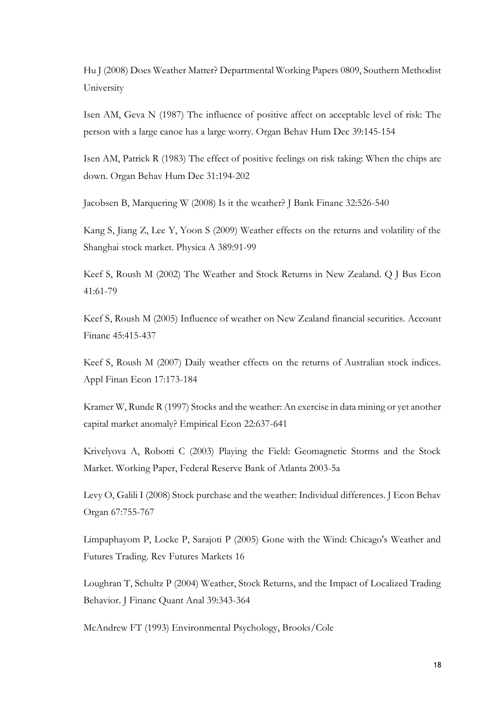Hu J (2008) Does Weather Matter? Departmental Working Papers 0809, Southern Methodist University

Isen AM, Geva N (1987) The influence of positive affect on acceptable level of risk: The person with a large canoe has a large worry. Organ Behav Hum Dec 39:145-154

Isen AM, Patrick R (1983) The effect of positive feelings on risk taking: When the chips are down. Organ Behav Hum Dec 31:194-202

Jacobsen B, Marquering W (2008) Is it the weather? J Bank Financ 32:526-540

Kang S, Jiang Z, Lee Y, Yoon S (2009) Weather effects on the returns and volatility of the Shanghai stock market. Physica A 389:91-99

Keef S, Roush M (2002) The Weather and Stock Returns in New Zealand. Q J Bus Econ 41:61-79

Keef S, Roush M (2005) Influence of weather on New Zealand financial securities. Account Financ 45:415-437

Keef S, Roush M (2007) Daily weather effects on the returns of Australian stock indices. Appl Finan Econ 17:173-184

Kramer W, Runde R (1997) Stocks and the weather: An exercise in data mining or yet another capital market anomaly? Empirical Econ 22:637-641

Krivelyova A, Robotti C (2003) Playing the Field: Geomagnetic Storms and the Stock Market. Working Paper, Federal Reserve Bank of Atlanta 2003-5a

Levy O, Galili I (2008) Stock purchase and the weather: Individual differences. J Econ Behav Organ 67:755-767

Limpaphayom P, Locke P, Sarajoti P (2005) Gone with the Wind: Chicago's Weather and Futures Trading. Rev Futures Markets 16

Loughran T, Schultz P (2004) Weather, Stock Returns, and the Impact of Localized Trading Behavior. J Financ Quant Anal 39:343-364

McAndrew FT (1993) Environmental Psychology, Brooks/Cole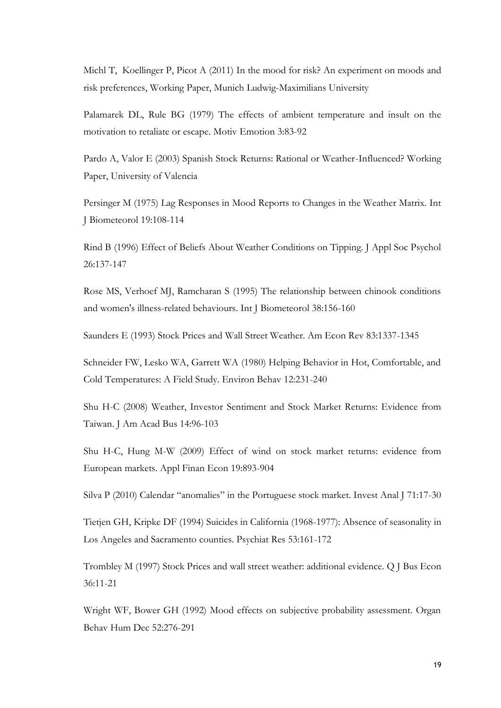Michl T, Koellinger P, Picot A (2011) In the mood for risk? An experiment on moods and risk preferences, Working Paper, Munich Ludwig-Maximilians University

Palamarek DL, Rule BG (1979) The effects of ambient temperature and insult on the motivation to retaliate or escape. Motiv Emotion 3:83-92

Pardo A, Valor E (2003) Spanish Stock Returns: Rational or Weather-Influenced? Working Paper, University of Valencia

Persinger M (1975) Lag Responses in Mood Reports to Changes in the Weather Matrix. Int J Biometeorol 19:108-114

Rind B (1996) Effect of Beliefs About Weather Conditions on Tipping. J Appl Soc Psychol 26:137-147

Rose MS, Verhoef MJ, Ramcharan S (1995) The relationship between chinook conditions and women's illness-related behaviours. Int J Biometeorol 38:156-160

Saunders E (1993) Stock Prices and Wall Street Weather. Am Econ Rev 83:1337-1345

Schneider FW, Lesko WA, Garrett WA (1980) Helping Behavior in Hot, Comfortable, and Cold Temperatures: A Field Study. Environ Behav 12:231-240

Shu H-C (2008) Weather, Investor Sentiment and Stock Market Returns: Evidence from Taiwan. J Am Acad Bus 14:96-103

Shu H-C, Hung M-W (2009) Effect of wind on stock market returns: evidence from European markets. Appl Finan Econ 19:893-904

Silva P (2010) Calendar "anomalies" in the Portuguese stock market. Invest Anal J 71:17-30

Tietjen GH, Kripke DF (1994) Suicides in California (1968-1977): Absence of seasonality in Los Angeles and Sacramento counties. Psychiat Res 53:161-172

Trombley M (1997) Stock Prices and wall street weather: additional evidence. Q J Bus Econ 36:11-21

Wright WF, Bower GH (1992) Mood effects on subjective probability assessment. Organ Behav Hum Dec 52:276-291

19